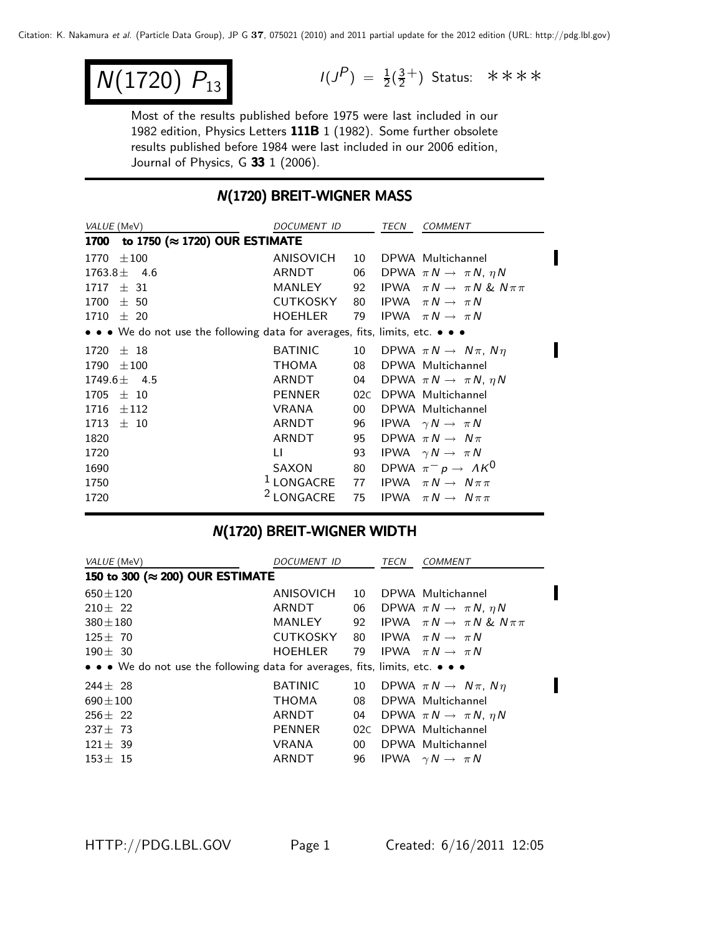$$
N(1720) P_{13}
$$

 $N(1720)$   $P_{13}$   $I(J^P) = \frac{1}{2}(\frac{3}{2}^+)$  Status: \*\*\*\*

Most of the results published before 1975 were last included in our 1982 edition, Physics Letters 111B 1 (1982). Some further obsolete results published before 1984 were last included in our 2006 edition, Journal of Physics, G 33 1 (2006).

#### **N(1720) BREIT-WIGNER MASS**

| VALUE (MeV)                                                                   | DOCUMENT ID                                                 |    | TECN | <b>COMMENT</b>                                  |
|-------------------------------------------------------------------------------|-------------------------------------------------------------|----|------|-------------------------------------------------|
| 1700 to 1750 (≈ 1720) OUR ESTIMATE                                            |                                                             |    |      |                                                 |
| $1770 \pm 100$                                                                | ANISOVICH                                                   | 10 |      | DPWA Multichannel                               |
| $1763.8 \pm 4.6$                                                              | ARNDT                                                       |    |      | 06 DPWA $\pi N \rightarrow \pi N$ , $\eta N$    |
| $1717 \pm 31$                                                                 | MANLEY                                                      |    |      | 92 IPWA $\pi N \rightarrow \pi N$ & $N \pi \pi$ |
| $1700 \pm 50$                                                                 | CUTKOSKY                                                    |    |      | 80 IPWA $\pi N \rightarrow \pi N$               |
| $1710 \pm 20$                                                                 | HOEHLER                                                     |    |      | 79 IPWA $\pi N \rightarrow \pi N$               |
| • • • We do not use the following data for averages, fits, limits, etc. • • • |                                                             |    |      |                                                 |
| $1720 \pm 18$                                                                 | <b>BATINIC</b>                                              |    |      | 10 DPWA $\pi N \rightarrow N \pi$ , $N \eta$    |
| $1790 \pm 100$                                                                | THOMA                                                       | 08 |      | DPWA Multichannel                               |
| $1749.6 \pm 4.5$                                                              | ARNDT                                                       |    |      | 04 DPWA $\pi N \rightarrow \pi N$ , $\eta N$    |
| 1705<br>$\pm$ 10                                                              | PENNER                                                      |    |      | 02C DPWA Multichannel                           |
| $\pm\,112$<br>1716                                                            | VRANA                                                       | 00 |      | DPWA Multichannel                               |
| $1713 \pm 10$                                                                 | ARNDT                                                       |    |      | 96 IPWA $\gamma N \rightarrow \pi N$            |
| 1820                                                                          | ARNDT                                                       | 95 |      | DPWA $\pi N \rightarrow N \pi$                  |
| 1720                                                                          | LI.                                                         | 93 |      | IPWA $\gamma N \rightarrow \pi N$               |
| 1690                                                                          | SAXON                                                       |    |      | 80 DPWA $\pi^- p \to A K^0$                     |
| 1750                                                                          | <sup>1</sup> LONGACRE 77 IPWA $\pi N \rightarrow N \pi \pi$ |    |      |                                                 |
| 1720                                                                          | <sup>2</sup> LONGACRE                                       | 75 |      | <b>IPWA</b> $\pi N \rightarrow N \pi \pi$       |

#### N(1720) BREIT-WIGNER WIDTH

| VALUE (MeV)                                                                   | <i>DOCUMENT ID</i> |                 | TECN | <b>COMMENT</b>                              |
|-------------------------------------------------------------------------------|--------------------|-----------------|------|---------------------------------------------|
| 150 to 300 (≈ 200) OUR ESTIMATE                                               |                    |                 |      |                                             |
| $650 \pm 120$                                                                 | ANISOVICH          | 10              |      | DPWA Multichannel                           |
| $210 \pm 22$                                                                  | ARNDT              | 06              |      | DPWA $\pi N \rightarrow \pi N$ , $\eta N$   |
| $380 \pm 180$                                                                 | MANLEY             | 92              |      | IPWA $\pi N \rightarrow \pi N \& N \pi \pi$ |
| $125 \pm 70$                                                                  | <b>CUTKOSKY</b>    | 80              |      | IPWA $\pi N \rightarrow \pi N$              |
| $190 \pm 30$                                                                  | HOEHLER            | 79              |      | IPWA $\pi N \rightarrow \pi N$              |
| • • • We do not use the following data for averages, fits, limits, etc. • • • |                    |                 |      |                                             |
| $244 + 28$                                                                    | <b>BATINIC</b>     | 10              |      | DPWA $\pi N \rightarrow N \pi$ , $N \eta$   |
| $690 \pm 100$                                                                 | <b>THOMA</b>       | 08              |      | DPWA Multichannel                           |
| $256 \pm 22$                                                                  | ARNDT              | 04              |      | DPWA $\pi N \rightarrow \pi N$ , $\eta N$   |
| $237 \pm 73$                                                                  | <b>PENNER</b>      | 02C             |      | DPWA Multichannel                           |
| $121 \pm 39$                                                                  | <b>VRANA</b>       | 00 <sup>°</sup> |      | DPWA Multichannel                           |
| $153 \pm 15$                                                                  | ARNDT              | 96              |      | IPWA $\gamma N \rightarrow \pi N$           |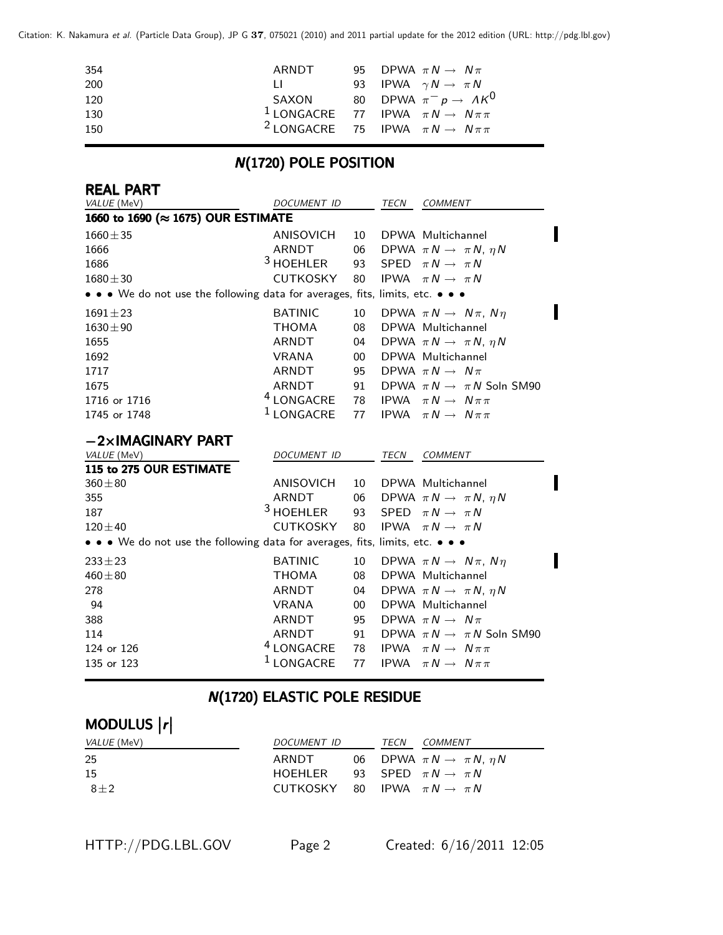| 354 | ARNDT        | 95 DPWA $\pi N \rightarrow N \pi$                           |
|-----|--------------|-------------------------------------------------------------|
| 200 | $\mathbf{H}$ | 93 IPWA $\gamma N \rightarrow \pi N$                        |
| 120 |              | SAXON 80 DPWA $\pi^- p \to A K^0$                           |
| 130 |              | <sup>1</sup> LONGACRE 77 IPWA $\pi N \rightarrow N \pi \pi$ |
| 150 |              | <sup>2</sup> LONGACRE 75 IPWA $\pi N \rightarrow N \pi \pi$ |
|     |              |                                                             |

# N(1720) POLE POSITION

| <b>REAL PART</b><br>VALUE (MeV)                                               | DOCUMENT ID           |        | TECN        | COMMENT                                   |
|-------------------------------------------------------------------------------|-----------------------|--------|-------------|-------------------------------------------|
| 1660 to 1690 (≈ 1675) OUR ESTIMATE                                            |                       |        |             |                                           |
| $1660 \pm 35$                                                                 | <b>ANISOVICH</b>      | 10     |             | DPWA Multichannel                         |
| 1666                                                                          | ARNDT                 | 06     |             | DPWA $\pi N \rightarrow \pi N$ , $\eta N$ |
| 1686                                                                          | <sup>3</sup> HOEHLER  | 93     | <b>SPED</b> | $\pi N \rightarrow \pi N$                 |
| $1680 \pm 30$                                                                 | <b>CUTKOSKY</b>       | 80     | <b>IPWA</b> | $\pi N \rightarrow \pi N$                 |
| • • • We do not use the following data for averages, fits, limits, etc. • • • |                       |        |             |                                           |
| $1691 \pm 23$                                                                 | <b>BATINIC</b>        | 10     |             | DPWA $\pi N \rightarrow N \pi$ , $N \eta$ |
| $1630 \pm 90$                                                                 | <b>THOMA</b>          | 08     |             | DPWA Multichannel                         |
| 1655                                                                          | ARNDT                 | 04     |             | DPWA $\pi N \rightarrow \pi N$ , $\eta N$ |
| 1692                                                                          | <b>VRANA</b>          | $00\,$ |             | DPWA Multichannel                         |
| 1717                                                                          | ARNDT                 | 95     |             | DPWA $\pi N \rightarrow N \pi$            |
| 1675                                                                          | ARNDT                 | 91     |             | DPWA $\pi N \rightarrow \pi N$ Soln SM90  |
| 1716 or 1716                                                                  | <sup>4</sup> LONGACRE | 78     | <b>IPWA</b> | $\pi N \rightarrow N \pi \pi$             |
| 1745 or 1748                                                                  | <sup>1</sup> LONGACRE | 77     |             | <b>IPWA</b> $\pi N \rightarrow N \pi \pi$ |
| $-2\times$ IMAGINARY PART                                                     |                       |        |             |                                           |
| VALUE (MeV)                                                                   | DOCUMENT ID           |        | TECN        | COMMENT                                   |
| 115 to 275 OUR ESTIMATE                                                       |                       |        |             |                                           |
| $360 + 80$                                                                    | ANISOVICH             | 10     |             | DPWA Multichannel                         |
| 355                                                                           | <b>ARNDT</b>          | 06     |             | DPWA $\pi N \rightarrow \pi N$ , $\eta N$ |
| 187                                                                           | <sup>3</sup> HOEHLER  | 93     | <b>SPED</b> | $\pi N \rightarrow \pi N$                 |
| $120 \pm 40$                                                                  | <b>CUTKOSKY</b>       | 80     | <b>IPWA</b> | $\pi N \rightarrow \pi N$                 |
| • • • We do not use the following data for averages, fits, limits, etc. • • • |                       |        |             |                                           |
| $233 \pm 23$                                                                  | <b>BATINIC</b>        | 10     |             | DPWA $\pi N \rightarrow N \pi$ , $N \eta$ |
| $460 + 80$                                                                    | <b>THOMA</b>          | 08     |             | DPWA Multichannel                         |
| 278                                                                           | <b>ARNDT</b>          | 04     |             | DPWA $\pi N \rightarrow \pi N$ , $\eta N$ |
| 94                                                                            | <b>VRANA</b>          | $00\,$ |             | DPWA Multichannel                         |
| 388                                                                           | ARNDT                 | 95     |             | DPWA $\pi N \rightarrow N \pi$            |
| 114                                                                           | ARNDT                 | 91     |             | DPWA $\pi N \rightarrow \pi N$ Soln SM90  |
| 124 or 126                                                                    | <sup>4</sup> LONGACRE | 78     | <b>IPWA</b> | $\pi N \rightarrow N \pi \pi$             |
| 135 or 123                                                                    | <sup>1</sup> LONGACRE | 77     | <b>IPWA</b> | $\pi N \rightarrow N \pi \pi$             |

# **N(1720) ELASTIC POLE RESIDUE**

#### MODULUS |r| MODULUS  $\vert r \vert$

| <i>VALUE</i> (MeV) | <i>DOCUMENT ID</i>                         |  | <i>TECN COMMENT</i>                          |
|--------------------|--------------------------------------------|--|----------------------------------------------|
| 25                 | ARNDT                                      |  | 06 DPWA $\pi N \rightarrow \pi N$ , $\eta N$ |
| 15                 | HOEHLER 93 SPED $\pi N \rightarrow \pi N$  |  |                                              |
| $8+2$              | CUTKOSKY 80 IPWA $\pi N \rightarrow \pi N$ |  |                                              |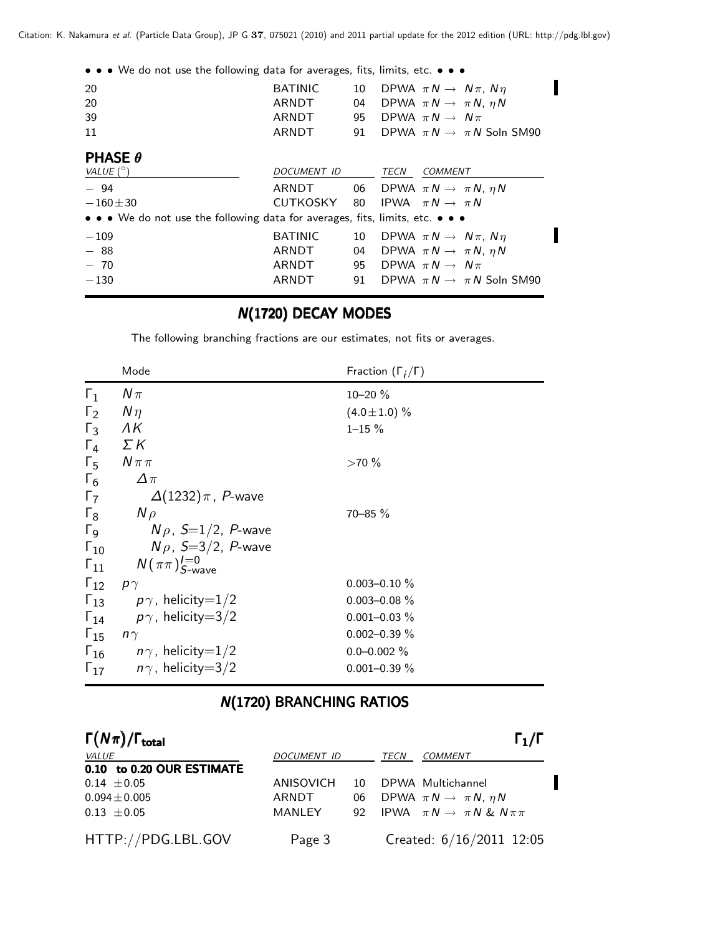| • • • We do not use the following data for averages, fits, limits, etc. • • •                                         |                |    |      |                                              |  |
|-----------------------------------------------------------------------------------------------------------------------|----------------|----|------|----------------------------------------------|--|
| 20                                                                                                                    | <b>BATINIC</b> | 10 |      | DPWA $\pi N \rightarrow N \pi$ , $N \eta$    |  |
| 20                                                                                                                    | ARNDT          | 04 |      | DPWA $\pi N \rightarrow \pi N$ , $\eta N$    |  |
| 39                                                                                                                    | ARNDT          |    |      | 95 DPWA $\pi N \rightarrow N \pi$            |  |
| 11                                                                                                                    | <b>ARNDT</b>   | 91 |      | DPWA $\pi N \rightarrow \pi N$ Soln SM90     |  |
| <b>PHASE <math>\theta</math></b>                                                                                      |                |    |      |                                              |  |
| VALUE $(^\circ)$                                                                                                      | DOCUMENT ID    |    | TECN | <b>COMMENT</b>                               |  |
| $-94$                                                                                                                 | ARNDT          |    |      | 06 DPWA $\pi N \rightarrow \pi N$ , $\eta N$ |  |
| $-160 \pm 30$                                                                                                         | CUTKOSKY       |    |      | 80 IPWA $\pi N \rightarrow \pi N$            |  |
| $\bullet \bullet \bullet$ We do not use the following data for averages, fits, limits, etc. $\bullet \bullet \bullet$ |                |    |      |                                              |  |
| $-109$                                                                                                                | <b>BATINIC</b> | 10 |      | DPWA $\pi N \rightarrow N \pi$ , $N \eta$    |  |
| $-88$                                                                                                                 | ARNDT          | 04 |      | DPWA $\pi N \rightarrow \pi N$ , $\eta N$    |  |
| $-70$                                                                                                                 | ARNDT          | 95 |      | DPWA $\pi N \rightarrow N \pi$               |  |
| $-130$                                                                                                                | ARNDT          | 91 |      | DPWA $\pi N \rightarrow \pi N$ Soln SM90     |  |
|                                                                                                                       |                |    |      |                                              |  |

# **N(1720) DECAY MODES**

The following branching fractions are our estimates, not fits or averages.

|                       | Mode                                   | Fraction $(\Gamma_i/\Gamma)$ |
|-----------------------|----------------------------------------|------------------------------|
| $\Gamma_1$            | $N\pi$                                 | $10 - 20 \%$                 |
| $\Gamma_2$            | $N\eta$                                | $(4.0 \pm 1.0)$ %            |
| $\Gamma_3$            | ΛK                                     | $1 - 15 \%$                  |
| $\Gamma_4$            | $\Sigma K$                             |                              |
| $\Gamma_{5}$          | $N\pi\pi$                              | $>70\%$                      |
| $\Gamma_6$            | $\Delta \pi$                           |                              |
| $\Gamma_7$            | $\Delta(1232)\pi$ , P-wave             |                              |
| $\Gamma_8$            | $N \rho$                               | $70 - 85 \%$                 |
| $\Gamma$ <sub>9</sub> | $N\rho$ , S=1/2, P-wave                |                              |
| $\Gamma_{10}$         | $N\rho$ , S=3/2, P-wave                |                              |
| $\Gamma_{11}$         | $N(\pi\pi)_{S\text{-wave}}^{I=0}$      |                              |
| $\Gamma_{12}$         | $p\gamma$                              | $0.003 - 0.10 \%$            |
|                       | $\Gamma_{13}$ $p\gamma$ , helicity=1/2 | $0.003 - 0.08 \%$            |
|                       | $\Gamma_{14}$ $p\gamma$ , helicity=3/2 | $0.001 - 0.03 \%$            |
| $\Gamma_{15}$         | $n\gamma$                              | $0.002 - 0.39 \%$            |
|                       | $\Gamma_{16}$ $n\gamma$ , helicity=1/2 | $0.0 - 0.002 \%$             |
| $\Gamma_{17}$         | $n\gamma$ , helicity $=3/2$            | $0.001 - 0.39 \%$            |

### **N(1720) BRANCHING RATIOS**

| $\Gamma(N\pi)/\Gamma_{\rm total}$ |             |    |      | $\Gamma_1/\Gamma$                              |
|-----------------------------------|-------------|----|------|------------------------------------------------|
| <i>VALUE</i>                      | DOCUMENT ID |    | TECN | COMMENT                                        |
| 0.10 to 0.20 OUR ESTIMATE         |             |    |      |                                                |
| $0.14 \pm 0.05$                   | ANISOVICH   | 10 |      | DPWA Multichannel                              |
| $0.094 \pm 0.005$                 | ARNDT       | 06 |      | DPWA $\pi N \rightarrow \pi N$ , $\eta N$      |
| $0.13 \pm 0.05$                   | MANLEY      |    |      | 92 IPWA $\pi N \rightarrow \pi N \& N \pi \pi$ |
| HTTP://PDG.LBL.GOV                | Page 3      |    |      | Created: 6/16/2011 12:05                       |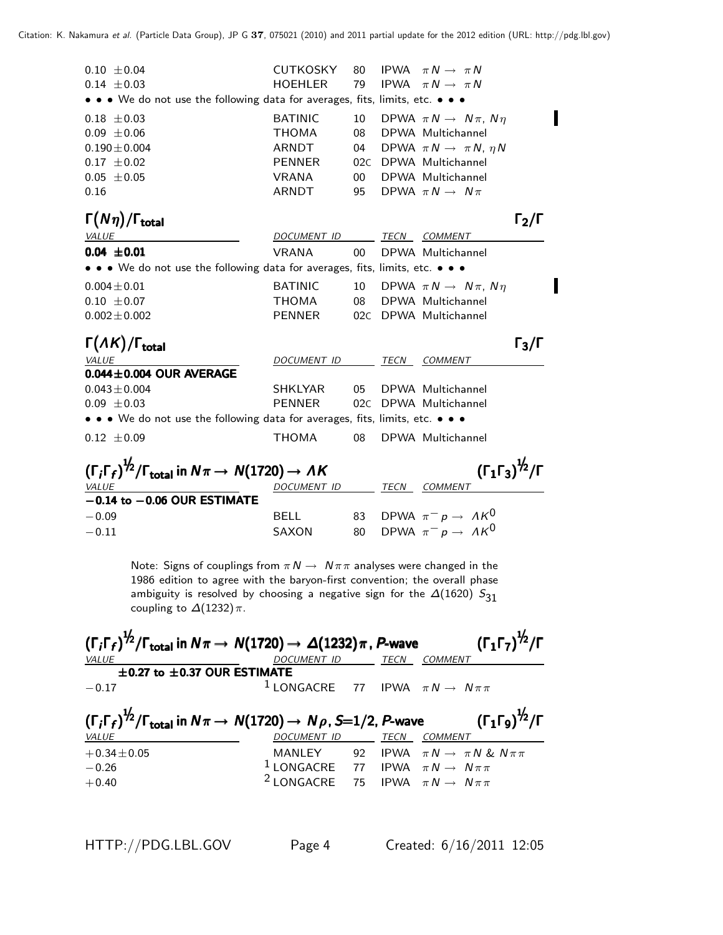| $0.10 \pm 0.04$                                                                                           | CUTKOSKY                 | 80     |      | IPWA $\pi N \rightarrow \pi N$               |                   |
|-----------------------------------------------------------------------------------------------------------|--------------------------|--------|------|----------------------------------------------|-------------------|
| $0.14 \pm 0.03$                                                                                           | HOEHLER                  | 79     |      | IPWA $\pi N \rightarrow \pi N$               |                   |
| • • • We do not use the following data for averages, fits, limits, etc. • • •                             |                          |        |      |                                              |                   |
| $0.18 \pm 0.03$                                                                                           | <b>BATINIC</b>           | 10     |      | DPWA $\pi N \rightarrow N \pi$ , $N \eta$    |                   |
| $0.09 \pm 0.06$                                                                                           | <b>THOMA</b>             | 08     |      | DPWA Multichannel                            |                   |
| $0.190 \pm 0.004$                                                                                         | ARNDT                    | 04     |      | DPWA $\pi N \rightarrow \pi N$ , $\eta N$    |                   |
| $0.17 \pm 0.02$                                                                                           | <b>PENNER</b>            | 02C    |      | DPWA Multichannel                            |                   |
| $0.05 \pm 0.05$                                                                                           | VRANA                    | $00-1$ |      | DPWA Multichannel                            |                   |
| 0.16                                                                                                      | ARNDT                    | 95     |      | DPWA $\pi N \rightarrow N \pi$               |                   |
| $\Gamma(N\eta)/\Gamma_{\rm total}$                                                                        |                          |        |      |                                              | $\Gamma_2/\Gamma$ |
| <b>VALUE</b>                                                                                              | DOCUMENT ID              |        |      | TECN COMMENT                                 |                   |
| $0.04 \pm 0.01$                                                                                           | VRANA                    | $00\,$ |      | DPWA Multichannel                            |                   |
| • • • We do not use the following data for averages, fits, limits, etc. • • •                             |                          |        |      |                                              |                   |
| $0.004 \pm 0.01$                                                                                          | <b>BATINIC</b>           |        |      | 10 DPWA $\pi N \rightarrow N \pi$ , $N \eta$ |                   |
| $0.10 \pm 0.07$                                                                                           | THOMA                    |        |      | 08 DPWA Multichannel                         |                   |
| $0.002 \pm 0.002$                                                                                         | PENNER                   |        |      | 02C DPWA Multichannel                        |                   |
| $\Gamma(\Lambda K)/\Gamma_{\rm total}$                                                                    |                          |        |      |                                              | $\Gamma_3/\Gamma$ |
| VALUE                                                                                                     | DOCUMENT ID TECN COMMENT |        |      |                                              |                   |
| $0.044 \pm 0.004$ OUR AVERAGE                                                                             |                          |        |      |                                              |                   |
| $0.043 \pm 0.004$                                                                                         | SHKLYAR                  | 05     |      | DPWA Multichannel                            |                   |
| $0.09 \pm 0.03$                                                                                           | <b>PENNER</b>            | 02C    |      | DPWA Multichannel                            |                   |
| • • • We do not use the following data for averages, fits, limits, etc. • • •                             |                          |        |      |                                              |                   |
| $0.12 \pm 0.09$                                                                                           | <b>THOMA</b>             | 08     |      | DPWA Multichannel                            |                   |
| $(\Gamma_i \Gamma_f)^{\frac{1}{2}} / \Gamma_{\text{total}}$ in $N \pi \rightarrow N(1720) \rightarrow AK$ |                          |        |      | $(\Gamma_1 \Gamma_3)^{\frac{1}{2}} / \Gamma$ |                   |
|                                                                                                           |                          |        |      |                                              |                   |
| <b>VALUE</b><br>$-0.14$ to $-0.06$ OUR ESTIMATE                                                           | DOCUMENT ID              |        | TECN | COMMENT                                      |                   |
| $-0.09$                                                                                                   | <b>BELL</b>              | 83     |      | DPWA $\pi^- p \to \Lambda K^0$               |                   |
|                                                                                                           | <b>SAXON</b>             |        |      | DPWA $\pi^- p \to \Lambda K^0$               |                   |
| $-0.11$                                                                                                   |                          | 80     |      |                                              |                   |

Note: Signs of couplings from  $\pi N \to N \pi \pi$  analyses were changed in the 1986 edition to agree with the baryon-first convention; the overall phase ambiguity is resolved by choosing a negative sign for the  $\Delta(1620)$   $S_{31}$ coupling to  $\Delta(1232)\pi$ .

|                                       | $(\Gamma_i\Gamma_f)^{\frac{1}{2}}/\Gamma_{\rm total}$ in $N\pi\to N(1720)\to \Delta(1232)\pi$ , P-wave   |      | $(\Gamma_1\Gamma_7)^{\frac{1}{2}}$ /Г        |
|---------------------------------------|----------------------------------------------------------------------------------------------------------|------|----------------------------------------------|
| <i>VALUE</i>                          | DOCUMENT ID                                                                                              | TECN | <b>COMMENT</b>                               |
| $\pm$ 0.27 to $\pm$ 0.37 OUR ESTIMATE |                                                                                                          |      |                                              |
| $-0.17$                               | <sup>1</sup> LONGACRE 77 IPWA $\pi N \rightarrow N \pi \pi$                                              |      |                                              |
|                                       | $(\Gamma_i\Gamma_f)^{\frac{1}{2}}/\Gamma_{\text{total}}$ in $N\pi \to N(1720) \to N\rho$ , S=1/2, P-wave |      | $(\Gamma_1\Gamma_9)^{\frac{1}{2}}$ /Γ        |
| VALUE                                 | DOCUMENT ID                                                                                              | TECN | COMMENT                                      |
| $+0.34 \pm 0.05$                      | MANLEY 92                                                                                                |      | IPWA $\pi N \rightarrow \pi N$ & $N \pi \pi$ |
| $-0.26$                               | <sup>1</sup> LONGACRE 77 IPWA $\pi N \rightarrow N \pi \pi$                                              |      |                                              |
| $+0.40$                               | $2$ LONGACRE 75                                                                                          |      | IPWA $\pi N \rightarrow N \pi \pi$           |

DPWA  $\pi^- p \to \Lambda K^0$ 

П

Π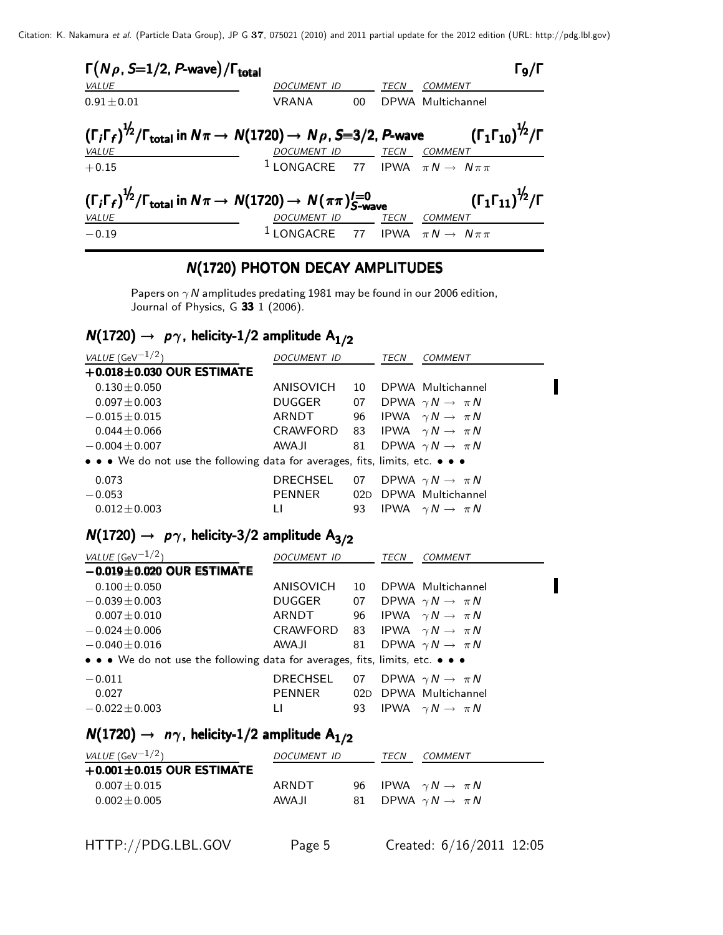Citation: K. Nakamura et al. (Particle Data Group), JP G **37**, 075021 (2010) and 2011 partial update for the 2012 edition (URL: http://pdg.lbl.gov)

| $\Gamma(N\rho, S=1/2, P$ -wave)/ $\Gamma_{\text{total}}$                                                                                                                               |                                                                       |        |             | $\Gamma_{9}/\Gamma$                                 |
|----------------------------------------------------------------------------------------------------------------------------------------------------------------------------------------|-----------------------------------------------------------------------|--------|-------------|-----------------------------------------------------|
| VALUE                                                                                                                                                                                  | <b>DOCUMENT ID</b>                                                    |        | <b>TECN</b> | COMMENT                                             |
| $0.91 + 0.01$                                                                                                                                                                          | VRANA                                                                 | $00\,$ |             | DPWA Multichannel                                   |
| $(\Gamma_i \Gamma_f)^{\frac{1}{2}} / \Gamma_{\text{total}}$ in $N\pi \to N(1720) \to N\rho$ , S=3/2, P-wave $(\Gamma_1 \Gamma_{10})^{\frac{1}{2}} / \Gamma$<br><b>VALUE</b><br>$+0.15$ | $\frac{DOCUMENT ID}{1$ LONGACRE 77 IPWA $\pi N \rightarrow N \pi \pi$ |        |             |                                                     |
| $(\Gamma_i \Gamma_f)^{\frac{1}{2}} / \Gamma_{\text{total}}$ in $N \pi \rightarrow N(1720) \rightarrow N(\pi \pi)_{S-\text{wave}}^{I=0}$<br>VALUE<br>$-0.19$                            | DOCUMENT ID<br>$1$ LONGACRE 77 IPWA $\pi N \rightarrow N \pi \pi$     |        | <u>TECN</u> | $(\Gamma_1\Gamma_{11})^{\frac{1}{2}}$ /Г<br>COMMENT |

#### N(1720) PHOTON DECAY AMPLITUDES

Papers on  $\gamma$  N amplitudes predating 1981 may be found in our 2006 edition, Journal of Physics, G 33 1 (2006).

### $N(1720) \rightarrow p\gamma$ , helicity-1/2 amplitude  $A_{1/2}$

| VALUE (GeV $^{-1/2}$ )                                                        | DOCUMENT ID     |    | TECN | COMMENT                              |
|-------------------------------------------------------------------------------|-----------------|----|------|--------------------------------------|
| $+0.018 \pm 0.030$ OUR ESTIMATE                                               |                 |    |      |                                      |
| $0.130 \pm 0.050$                                                             | ANISOVICH       | 10 |      | DPWA Multichannel                    |
| $0.097 \pm 0.003$                                                             | DUGGER          |    |      | 07 DPWA $\gamma N \rightarrow \pi N$ |
| $-0.015 \pm 0.015$                                                            | ARNDT           | 96 |      | IPWA $\gamma N \to \pi N$            |
| $0.044 + 0.066$                                                               | CRAWFORD        |    |      | 83 IPWA $\gamma N \rightarrow \pi N$ |
| $-0.004 \pm 0.007$                                                            | <b>AWAJI</b>    |    |      | 81 DPWA $\gamma N \rightarrow \pi N$ |
| • • • We do not use the following data for averages, fits, limits, etc. • • • |                 |    |      |                                      |
| 0.073                                                                         | <b>DRECHSEL</b> | 07 |      | DPWA $\gamma N \to \pi N$            |
| $-0.053$                                                                      | <b>PENNER</b>   |    |      | 02D DPWA Multichannel                |
| $0.012 \pm 0.003$                                                             | Ħ               | 93 |      | IPWA $\gamma N \rightarrow \pi N$    |

# $N(1720) \rightarrow p\gamma$ , helicity-3/2 amplitude  $A_{3/2}$

| VALUE (GeV $^{-1/2}$ )                                                        | <i>DOCUMENT ID</i>                    |    | <b>TECN</b> | COMMENT                              |
|-------------------------------------------------------------------------------|---------------------------------------|----|-------------|--------------------------------------|
| $-0.019 \pm 0.020$ OUR ESTIMATE                                               |                                       |    |             |                                      |
| $0.100 \pm 0.050$                                                             | ANISOVICH                             | 10 |             | DPWA Multichannel                    |
| $-0.039 \pm 0.003$                                                            | DUGGER                                |    |             | 07 DPWA $\gamma N \rightarrow \pi N$ |
| $0.007 \pm 0.010$                                                             | ARNDT                                 | 96 |             | IPWA $\gamma N \to \pi N$            |
| $-0.024 \pm 0.006$                                                            | CRAWFORD 83 IPWA $\gamma N \to \pi N$ |    |             |                                      |
| $-0.040 \pm 0.016$                                                            | AWAJI                                 | 81 |             | DPWA $\gamma N \rightarrow \pi N$    |
| • • • We do not use the following data for averages, fits, limits, etc. • • • |                                       |    |             |                                      |
| $-0.011$                                                                      | DRECHSEL                              |    |             | 07 DPWA $\gamma N \rightarrow \pi N$ |
| 0.027                                                                         | PENNER                                |    |             | 02D DPWA Multichannel                |
| $-0.022 \pm 0.003$                                                            | Ħ                                     |    |             | 93 IPWA $\gamma N \rightarrow \pi N$ |

### $N(1720) \rightarrow n\gamma$ , helicity-1/2 amplitude A<sub>1/2</sub>

| <i>VALUE</i> (GeV $^{-1/2}$ )   | DOCUMENT ID |  | TECN | COMMENT                              |
|---------------------------------|-------------|--|------|--------------------------------------|
| $+0.001 \pm 0.015$ OUR ESTIMATE |             |  |      |                                      |
| $0.007 + 0.015$                 | ARNDT       |  |      | 96 IPWA $\gamma N \rightarrow \pi N$ |
| $0.002 + 0.005$                 | AWAJI       |  |      | 81 DPWA $\gamma N \rightarrow \pi N$ |

Π

Π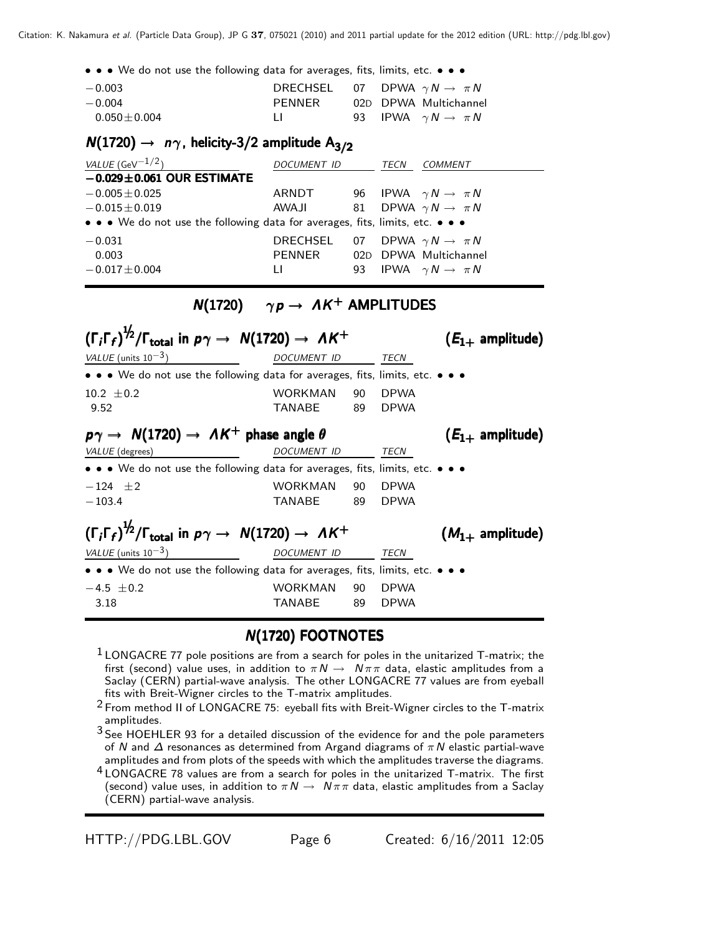Citation: K. Nakamura et al. (Particle Data Group), JP G **37**, 075021 (2010) and 2011 partial update for the 2012 edition (URL: http://pdg.lbl.gov)

• • • We do not use the following data for averages, fits, limits, etc. • • •

| $-0.003$          | DRECHSEL 07 DPWA $\gamma N \to \pi N$ |  |                              |
|-------------------|---------------------------------------|--|------------------------------|
| $-0.004$          | PFNNFR                                |  | 02D DPWA Multichannel        |
| $0.050 \pm 0.004$ | $\perp$                               |  | 93 IPWA $\gamma N \to \pi N$ |

#### $N(1720) \rightarrow n\gamma$ , helicity-3/2 amplitude A<sub>3/2</sub>

| VALUE (GeV $^{-1/2}$ )                                                        | <i>DOCUMENT ID</i> | TECN<br>COMMENT                      |
|-------------------------------------------------------------------------------|--------------------|--------------------------------------|
| $-0.029 \pm 0.061$ OUR ESTIMATE                                               |                    |                                      |
| $-0.005 \pm 0.025$                                                            | ARNDT              | 96 IPWA $\gamma N \rightarrow \pi N$ |
| $-0.015 \pm 0.019$                                                            | AWAJI              | 81 DPWA $\gamma N \rightarrow \pi N$ |
| • • • We do not use the following data for averages, fits, limits, etc. • • • |                    |                                      |
| $-0.031$                                                                      | DRECHSEL           | 07 DPWA $\gamma N \to \pi N$         |
| 0.003                                                                         | PENNER             | 02D DPWA Multichannel                |
| $-0.017 \pm 0.004$                                                            | Ħ                  | 93 IPWA $\gamma N \rightarrow \pi N$ |
|                                                                               |                    |                                      |

#### $N(1720)$   $\gamma p \rightarrow \Lambda K^{+}$  AMPLITUDES

| $(\Gamma_i \Gamma_f)^{\frac{1}{2}} / \Gamma_{\text{total}}$ in $p\gamma \rightarrow N(1720) \rightarrow AK^+$                         |                    |      |             | $(E_{1+}$ amplitude) |  |
|---------------------------------------------------------------------------------------------------------------------------------------|--------------------|------|-------------|----------------------|--|
| VALUE (units $10^{-3}$ )                                                                                                              | <b>DOCUMENT ID</b> |      | TECN        |                      |  |
| • • • We do not use the following data for averages, fits, limits, etc. • • •                                                         |                    |      |             |                      |  |
| $10.2 + 0.2$                                                                                                                          | WORKMAN            | 90   | <b>DPWA</b> |                      |  |
| 9.52                                                                                                                                  | TANABE             | 89   | <b>DPWA</b> |                      |  |
| $p\gamma \rightarrow N(1720) \rightarrow AK^+$ phase angle $\theta$                                                                   |                    |      |             | $(E_{1+}$ amplitude) |  |
| VALUE (degrees)                                                                                                                       | DOCUMENT ID        |      | TECN        |                      |  |
| $\bullet \bullet \bullet$ We do not use the following data for averages, fits, limits, etc. $\bullet \bullet \bullet$                 |                    |      |             |                      |  |
| $-124 + 2$                                                                                                                            | WORKMAN            | 90 — | <b>DPWA</b> |                      |  |
| $-103.4$                                                                                                                              | TANABE             | 89.  | <b>DPWA</b> |                      |  |
| $(\Gamma_i \Gamma_f)^{\frac{1}{2}} / \Gamma_{\text{total}}$ in $p\gamma \rightarrow N(1720) \rightarrow AK^+$<br>$(M_{1+}$ amplitude) |                    |      |             |                      |  |
| VALUE (units $10^{-3}$ )                                                                                                              | DOCUMENT ID        |      | TECN        |                      |  |
| • • • We do not use the following data for averages, fits, limits, etc. • • •                                                         |                    |      |             |                      |  |
| $-4.5 + 0.2$                                                                                                                          | WORKMAN            | 90   | <b>DPWA</b> |                      |  |
| 3.18                                                                                                                                  | TANABE             | 89   | <b>DPWA</b> |                      |  |

#### **N(1720) FOOTNOTES**

- $1$  LONGACRE 77 pole positions are from a search for poles in the unitarized T-matrix; the first (second) value uses, in addition to  $\pi N \to N \pi \pi$  data, elastic amplitudes from a Saclay (CERN) partial-wave analysis. The other LONGACRE 77 values are from eyeball fits with Breit-Wigner circles to the T-matrix amplitudes.
- 2 From method II of LONGACRE 75: eyeball fits with Breit-Wigner circles to the T-matrix amplitudes.
- 3 See HOEHLER 93 for a detailed discussion of the evidence for and the pole parameters of N and  $\Delta$  resonances as determined from Argand diagrams of  $\pi N$  elastic partial-wave amplitudes and from plots of the speeds with which the amplitudes traverse the diagrams.

4 LONGACRE 78 values are from a search for poles in the unitarized T-matrix. The first (second) value uses, in addition to  $\pi N \to N \pi \pi$  data, elastic amplitudes from a Saclay (CERN) partial-wave analysis.